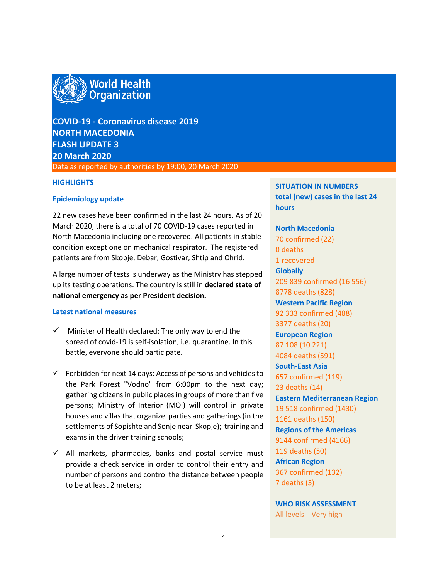

# **COVID-19 - Coronavirus disease 2019 NORTH MACEDONIA FLASH UPDATE 3 20 March 2020** Data as reported by authorities by 19:00, 20 March 2020

#### **HIGHLIGHTS**

#### **Epidemiology update**

22 new cases have been confirmed in the last 24 hours. As of 20 March 2020, there is a total of 70 COVID-19 cases reported in North Macedonia including one recovered. All patients in stable condition except one on mechanical respirator. The registered patients are from Skopje, Debar, Gostivar, Shtip and Ohrid.

A large number of tests is underway as the Ministry has stepped up its testing operations. The country is still in **declared state of national emergency as per President decision.**

#### **Latest national measures**

- $\checkmark$  Minister of Health declared: The only way to end the spread of covid-19 is self-isolation, i.e. quarantine. In this battle, everyone should participate.
- $\checkmark$  Forbidden for next 14 days: Access of persons and vehicles to the Park Forest "Vodno" from 6:00pm to the next day; gathering citizens in public places in groups of more than five persons; Ministry of Interior (MOI) will control in private houses and villas that organize parties and gatherings (in the settlements of Sopishte and Sonje near Skopje); training and exams in the driver training schools;
- $\checkmark$  All markets, pharmacies, banks and postal service must provide a check service in order to control their entry and number of persons and control the distance between people to be at least 2 meters;

## **SITUATION IN NUMBERS total (new) cases in the last 24 hours**

# **North Macedonia** 70 confirmed (22) 0 deaths 1 recovered **Globally**  209 839 confirmed (16 556) 8778 deaths (828) **Western Pacific Region** 92 333 confirmed (488) 3377 deaths (20) **European Region** 87 108 (10 221) 4084 deaths (591) **South-East Asia** 657 confirmed (119) 23 deaths (14) **Eastern Mediterranean Region** 19 518 confirmed (1430) 1161 deaths (150) **Regions of the Americas** 9144 confirmed (4166) 119 deaths (50) **African Region** 367 confirmed (132) 7 deaths (3)

**WHO RISK ASSESSMENT**  All levels Very high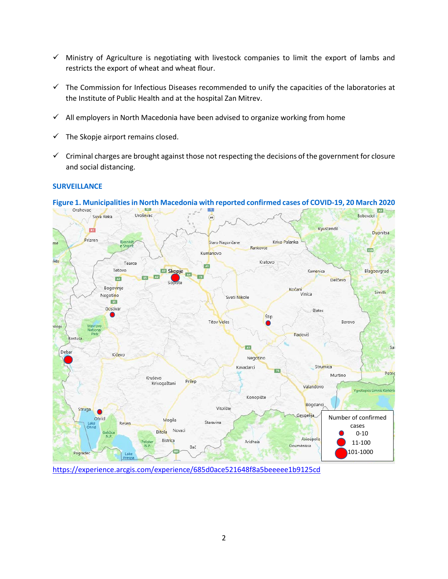- $\checkmark$  Ministry of Agriculture is negotiating with livestock companies to limit the export of lambs and restricts the export of wheat and wheat flour.
- $\checkmark$  The Commission for Infectious Diseases recommended to unify the capacities of the laboratories at the Institute of Public Health and at the hospital Zan Mitrev.
- $\checkmark$  All employers in North Macedonia have been advised to organize working from home
- The Skopje airport remains closed.
- $\checkmark$  Criminal charges are brought against those not respecting the decisions of the government for closure and social distancing.

#### **SURVEILLANCE**



# **Figure 1. Municipalitiesin North Macedonia with reported confirmed cases of COVID-19, 20 March 2020**

<https://experience.arcgis.com/experience/685d0ace521648f8a5beeeee1b9125cd>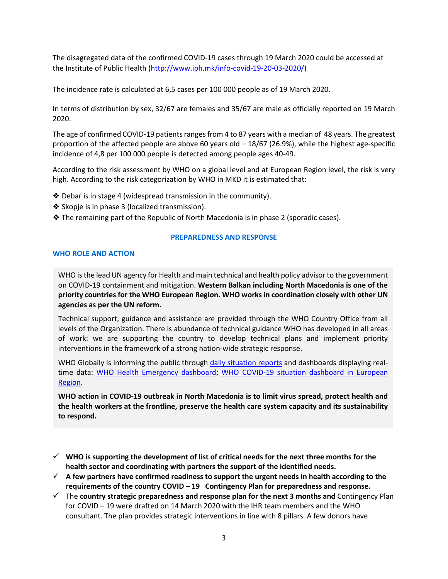The disagregated data of the confirmed COVID-19 cases through 19 March 2020 could be accessed at the Institute of Public Health [\(http://www.iph.mk/info-covid-19-20-03-2020/\)](http://www.iph.mk/info-covid-19-20-03-2020/)

The incidence rate is calculated at 6,5 cases per 100 000 people as of 19 March 2020.

In terms of distribution by sex, 32/67 are females and 35/67 are male as officially reported on 19 March 2020.

The age of confirmed COVID-19 patients ranges from 4 to 87 years with a median of 48 years. The greatest proportion of the affected people are above 60 years old – 18/67 (26.9%), while the highest age-specific incidence of 4,8 per 100 000 people is detected among people ages 40-49.

According to the risk assessment by WHO on a global level and at European Region level, the risk is very high. According to the risk categorization by WHO in MKD it is estimated that:

- ❖ Debar is in stage 4 (widespread transmission in the community).
- ❖ Skopje is in phase 3 (localized transmission).
- ❖ The remaining part of the Republic of North Macedonia is in phase 2 (sporadic cases).

## **PREPAREDNESS AND RESPONSE**

#### **WHO ROLE AND ACTION**

WHO is the lead UN agency for Health and main technical and health policy advisor to the government on COVID-19 containment and mitigation. **Western Balkan including North Macedonia is one of the priority countries for the WHO European Region. WHO works in coordination closely with other UN agencies as per the UN reform.** 

Technical support, guidance and assistance are provided through the WHO Country Office from all levels of the Organization. There is abundance of technical guidance WHO has developed in all areas of work: we are supporting the country to develop technical plans and implement priority interventions in the framework of a strong nation-wide strategic response.

WHO Globally is informing the public through [daily situation reports](https://www.who.int/emergencies/diseases/novel-coronavirus-2019/situation-reports/) and dashboards displaying realtime data: [WHO Health Emergency dashboard;](https://extranet.who.int/publicemergency) [WHO COVID-19 situation dashboard in European](http://who.maps.arcgis.com/apps/opsdashboard/index.html#/ead3c6475654481ca51c248d52ab9c61)  [Region.](http://who.maps.arcgis.com/apps/opsdashboard/index.html#/ead3c6475654481ca51c248d52ab9c61)

**WHO action in COVID-19 outbreak in North Macedonia is to limit virus spread, protect health and the health workers at the frontline, preserve the health care system capacity and its sustainability to respond.** 

- **WHO is supporting the development of list of critical needs for the next three months for the health sector and coordinating with partners the support of the identified needs.**
- **A few partners have confirmed readiness to support the urgent needs in health according to the requirements of the country COVID – 19 Contingency Plan for preparedness and response.**
- The **country strategic preparedness and response plan for the next 3 months and** Contingency Plan for COVID – 19 were drafted on 14 March 2020 with the IHR team members and the WHO consultant. The plan provides strategic interventions in line with 8 pillars. A few donors have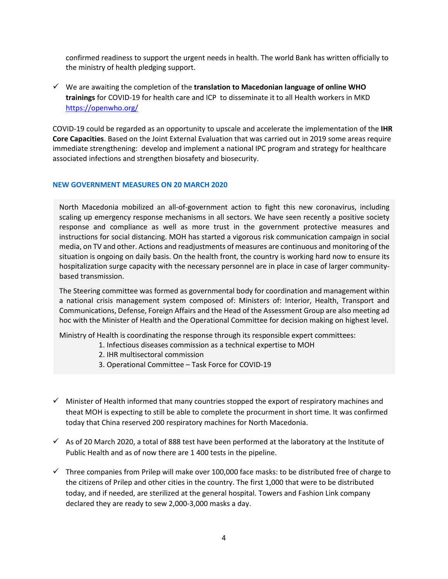confirmed readiness to support the urgent needs in health. The world Bank has written officially to the ministry of health pledging support.

 We are awaiting the completion of the **translation to Macedonian language of online WHO trainings** for COVID-19 for health care and ICP to disseminate it to all Health workers in MKD <https://openwho.org/>

COVID-19 could be regarded as an opportunity to upscale and accelerate the implementation of the **IHR Core Capacities**. Based on the Joint External Evaluation that was carried out in 2019 some areas require immediate strengthening: develop and implement a national IPC program and strategy for healthcare associated infections and strengthen biosafety and biosecurity.

#### **NEW GOVERNMENT MEASURES ON 20 MARCH 2020**

North Macedonia mobilized an all-of-government action to fight this new coronavirus, including scaling up emergency response mechanisms in all sectors. We have seen recently a positive society response and compliance as well as more trust in the government protective measures and instructions for social distancing. MOH has started a vigorous risk communication campaign in social media, on TV and other. Actions and readjustments of measures are continuous and monitoring of the situation is ongoing on daily basis. On the health front, the country is working hard now to ensure its hospitalization surge capacity with the necessary personnel are in place in case of larger communitybased transmission.

The Steering committee was formed as governmental body for coordination and management within a national crisis management system composed of: Ministers of: Interior, Health, Transport and Communications, Defense, Foreign Affairs and the Head of the Assessment Group are also meeting ad hoc with the Minister of Health and the Operational Committee for decision making on highest level.

Ministry of Health is coordinating the response through its responsible expert committees:

- 1. Infectious diseases commission as a technical expertise to MOH
- 2. IHR multisectoral commission
- 3. Operational Committee Task Force for COVID-19
- $\checkmark$  Minister of Health informed that many countries stopped the export of respiratory machines and theat MOH is expecting to still be able to complete the procurment in short time. It was confirmed today that China reserved 200 respiratory machines for North Macedonia.
- $\checkmark$  As of 20 March 2020, a total of 888 test have been performed at the laboratory at the Institute of Public Health and as of now there are 1 400 tests in the pipeline.
- $\checkmark$  Three companies from Prilep will make over 100,000 face masks: to be distributed free of charge to the citizens of Prilep and other cities in the country. The first 1,000 that were to be distributed today, and if needed, are sterilized at the general hospital. Towers and Fashion Link company declared they are ready to sew 2,000-3,000 masks a day.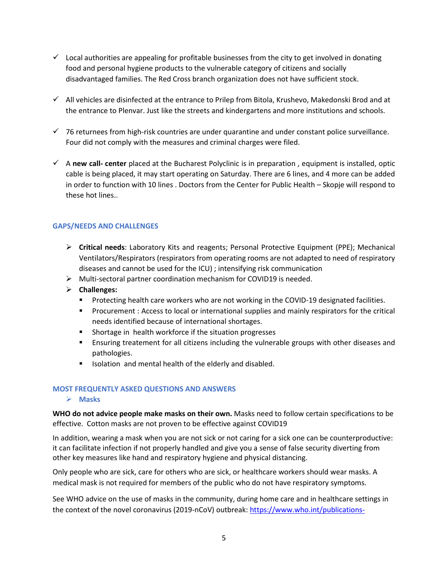- $\checkmark$  Local authorities are appealing for profitable businesses from the city to get involved in donating food and personal hygiene products to the vulnerable category of citizens and socially disadvantaged families. The Red Cross branch organization does not have sufficient stock.
- $\checkmark$  All vehicles are disinfected at the entrance to Prilep from Bitola, Krushevo, Makedonski Brod and at the entrance to Plenvar. Just like the streets and kindergartens and more institutions and schools.
- $\checkmark$  76 returnees from high-risk countries are under quarantine and under constant police surveillance. Four did not comply with the measures and criminal charges were filed.
- A **new call- center** placed at the Bucharest Polyclinic is in preparation , equipment is installed, optic cable is being placed, it may start operating on Saturday. There are 6 lines, and 4 more can be added in order to function with 10 lines . Doctors from the Center for Public Health – Skopje will respond to these hot lines..

## **GAPS/NEEDS AND CHALLENGES**

- **Critical needs**: Laboratory Kits and reagents; Personal Protective Equipment (PPE); Mechanical Ventilators/Respirators (respirators from operating rooms are not adapted to need of respiratory diseases and cannot be used for the ICU) ; intensifying risk communication
- $\triangleright$  Multi-sectoral partner coordination mechanism for COVID19 is needed.
- **Challenges:** 
	- **Protecting health care workers who are not working in the COVID-19 designated facilities.**
	- **Procurement : Access to local or international supplies and mainly respirators for the critical** needs identified because of international shortages.
	- **Shortage in health workforce if the situation progresses**
	- Ensuring treatement for all citizens including the vulnerable groups with other diseases and pathologies.
	- **ISOLATION 6.1 Is incorded in the search is allocated.** It is also and disabled.

#### **MOST FREQUENTLY ASKED QUESTIONS AND ANSWERS**

#### **Masks**

**WHO do not advice people make masks on their own.** Masks need to follow certain specifications to be effective. Cotton masks are not proven to be effective against COVID19

In addition, wearing a mask when you are not sick or not caring for a sick one can be counterproductive: it can facilitate infection if not properly handled and give you a sense of false security diverting from other key measures like hand and respiratory hygiene and physical distancing.

Only people who are sick, care for others who are sick, or healthcare workers should wear masks. A medical mask is not required for members of the public who do not have respiratory symptoms.

See WHO advice on the use of masks in the community, during home care and in healthcare settings in the context of the novel coronavirus (2019-nCoV) outbreak[: https://www.who.int/publications-](https://www.who.int/publications-detail/advice-on-the-use-of-masks-in-the-community-during-home-care-and-in-healthcare-settings-in-the-context-of-the-novel-coronavirus-(2019-ncov)-outbreak)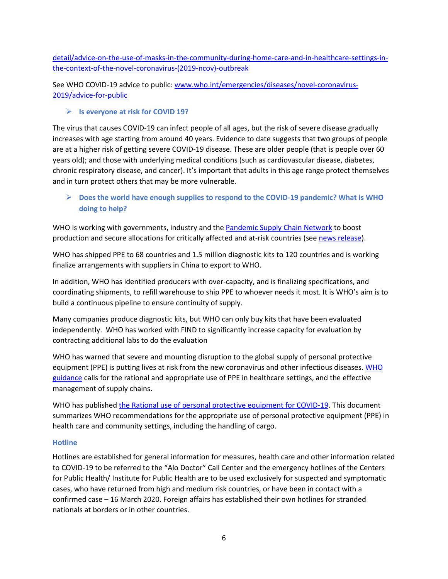[detail/advice-on-the-use-of-masks-in-the-community-during-home-care-and-in-healthcare-settings-in](https://www.who.int/publications-detail/advice-on-the-use-of-masks-in-the-community-during-home-care-and-in-healthcare-settings-in-the-context-of-the-novel-coronavirus-(2019-ncov)-outbreak)[the-context-of-the-novel-coronavirus-\(2019-ncov\)-outbreak](https://www.who.int/publications-detail/advice-on-the-use-of-masks-in-the-community-during-home-care-and-in-healthcare-settings-in-the-context-of-the-novel-coronavirus-(2019-ncov)-outbreak)

See WHO COVID-19 advice to public[: www.who.int/emergencies/diseases/novel-coronavirus-](http://www.who.int/emergencies/diseases/novel-coronavirus-2019/advice-for-public)[2019/advice-for-public](http://www.who.int/emergencies/diseases/novel-coronavirus-2019/advice-for-public)

### **Is everyone at risk for COVID 19?**

The virus that causes COVID-19 can infect people of all ages, but the risk of severe disease gradually increases with age starting from around 40 years. Evidence to date suggests that two groups of people are at a higher risk of getting severe COVID-19 disease. These are older people (that is people over 60 years old); and those with underlying medical conditions (such as cardiovascular disease, diabetes, chronic respiratory disease, and cancer). It's important that adults in this age range protect themselves and in turn protect others that may be more vulnerable.

# **Does the world have enough supplies to respond to the COVID-19 pandemic? What is WHO doing to help?**

WHO is working with governments, industry and the [Pandemic Supply Chain Network](https://www.weforum.org/projects/pandemic-supply-chain-network-pscn) to boost production and secure allocations for critically affected and at-risk countries (se[e news release\)](https://www.who.int/news-room/detail/03-03-2020-shortage-of-personal-protective-equipment-endangering-health-workers-worldwide).

WHO has shipped PPE to 68 countries and 1.5 million diagnostic kits to 120 countries and is working finalize arrangements with suppliers in China to export to WHO.

In addition, WHO has identified producers with over-capacity, and is finalizing specifications, and coordinating shipments, to refill warehouse to ship PPE to whoever needs it most. It is WHO's aim is to build a continuous pipeline to ensure continuity of supply.

Many companies produce diagnostic kits, but WHO can only buy kits that have been evaluated independently. WHO has worked with FIND to significantly increase capacity for evaluation by contracting additional labs to do the evaluation

WHO has warned that severe and mounting disruption to the global supply of personal protective equipment (PPE) is putting lives at risk from the new coronavirus and other infectious diseases. WHO [guidance](https://apps.who.int/iris/bitstream/handle/10665/331215/WHO-2019-nCov-IPCPPE_use-2020.1-eng.pdf) calls for the rational and appropriate use of PPE in healthcare settings, and the effective management of supply chains.

WHO has publishe[d the Rational use of personal protective equipment for COVID-19.](https://apps.who.int/iris/bitstream/handle/10665/331215/WHO-2019-nCov-IPCPPE_use-2020.1-eng.pdf) This document summarizes WHO recommendations for the appropriate use of personal protective equipment (PPE) in health care and community settings, including the handling of cargo.

#### **Hotline**

Hotlines are established for general information for measures, health care and other information related to COVID-19 to be referred to the "Alo Doctor" Call Center and the emergency hotlines of the Centers for Public Health/ Institute for Public Health are to be used exclusively for suspected and symptomatic cases, who have returned from high and medium risk countries, or have been in contact with a confirmed case – 16 March 2020. Foreign affairs has established their own hotlines for stranded nationals at borders or in other countries.